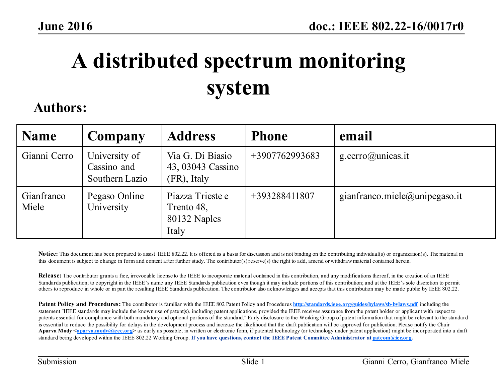# **A distributed spectrum monitoring system**

### **Authors:**

| <b>Name</b>         | Company                                        | <b>Address</b>                                          | <b>Phone</b>   | email                         |
|---------------------|------------------------------------------------|---------------------------------------------------------|----------------|-------------------------------|
| Gianni Cerro        | University of<br>Cassino and<br>Southern Lazio | Via G. Di Biasio<br>43, 03043 Cassino<br>(FR), Italy    | +3907762993683 | $g.cerro(a)$ unicas.it        |
| Gianfranco<br>Miele | Pegaso Online<br>University                    | Piazza Trieste e<br>Trento 48,<br>80132 Naples<br>Italy | +393288411807  | gianfranco.miele@unipegaso.it |

Notice: This document has been prepared to assist IEEE 802.22. It is offered as a basis for discussion and is not binding on the contributing individual(s) or organization(s). The material in this document is subject to change in form and content after further study. The contributor(s) reserve(s) the right to add, amend or withdraw material contained herein.

**Release:** The contributor grants a free, irrevocable license to the IEEE to incorporate material contained in this contribution, and any modifications thereof, in the creation of an IEEE Standards publication; to copyright in the IEEE's name any IEEE Standards publication even though it may include portions of this contribution; and at the IEEE's sole discretion to permit others to reproduce in whole or in part the resulting IEEE Standards publication. The contributor also acknowledges and accepts that this contribution may be made public by IEEE 802.22.

**Patent Policy and Procedures:** The contributor is familiar with the IEEE 802 Patent Policy and Procedures **http://standards.ieee.org/guides/bylaws/sb-bylaws.pdf** including the statement "IEEE standards may include the known use of patent(s), including patent applications, provided the IEEE receives assurance from the patent holder or applicant with respect to patents essential for compliance with both mandatory and optional portions of the standard." Early disclosure to the Working Group of patent information that might be relevant to the standard is essential to reduce the possibility for delays in the development process and increase the likelihood that the draft publication will be approved for publication. Please notify the Chair Apurva Mody <apurva.mody@ieee.org> as early as possible, in written or electronic form, if patented technology (or technology under patent application) might be incorporated into a draft standard being developed within the IEEE 802.22 Working Group. **If you have questions, contact the IEEE Patent Committee Administrator at patcom@iee.org.**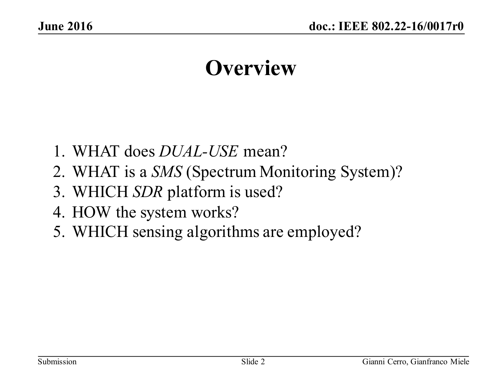### **Overview**

- 1. WHAT does *DUAL-USE* mean?
- 2. WHAT is a *SMS* (Spectrum Monitoring System)?
- 3. WHICH *SDR* platform is used?
- 4. HOW the system works?
- 5. WHICH sensing algorithms are employed?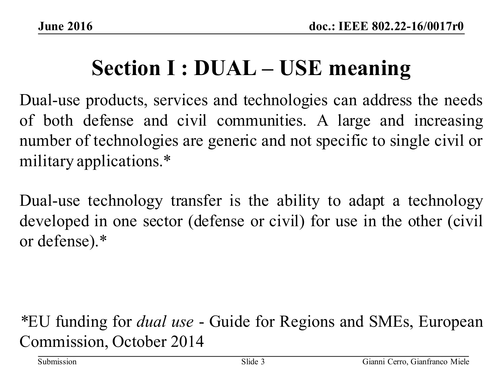## **Section I : DUAL – USE meaning**

Dual-use products, services and technologies can address the needs of both defense and civil communities. A large and increasing number of technologies are generic and not specific to single civil or military applications.\*

Dual-use technology transfer is the ability to adapt a technology developed in one sector (defense or civil) for use in the other (civil or defense).\*

### *\**EU funding for *dual use* - Guide for Regions and SMEs, European Commission, October 2014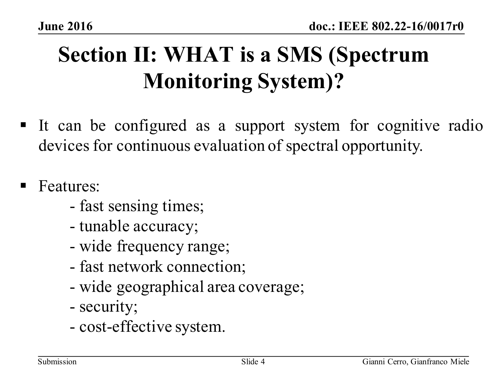# **Section II: WHAT is a SMS (Spectrum Monitoring System)?**

- § It can be configured as a support system for cognitive radio devices for continuous evaluation of spectral opportunity.
- § Features:
	- fast sensing times;
	- tunable accuracy;
	- wide frequency range;
	- fast network connection;
	- wide geographical area coverage;
	- security;
	- cost-effective system.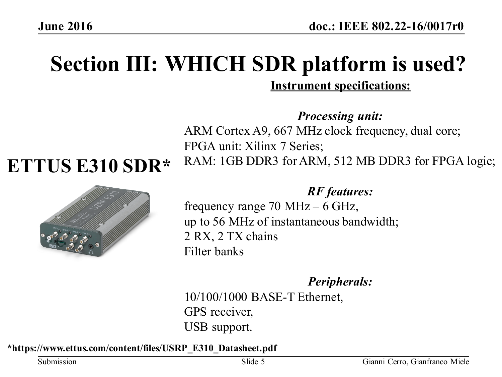### **Section III: WHICH SDR platform is used? Instrument specifications:**

**ETTUS E310 SDR\***



*Processing unit:*  ARM Cortex A9, 667 MHz clock frequency, dual core; FPGA unit: Xilinx 7 Series; RAM: 1GB DDR3 for ARM, 512 MB DDR3 for FPGA logic;

### *RF features:*

frequency range 70 MHz – 6 GHz, up to 56 MHz of instantaneous bandwidth; 2 RX, 2 TX chains Filter banks

*Peripherals:* 

10/100/1000 BASE-T Ethernet, GPS receiver, USB support.

#### **\*https://www.ettus.com/content/files/USRP\_E310\_Datasheet.pdf**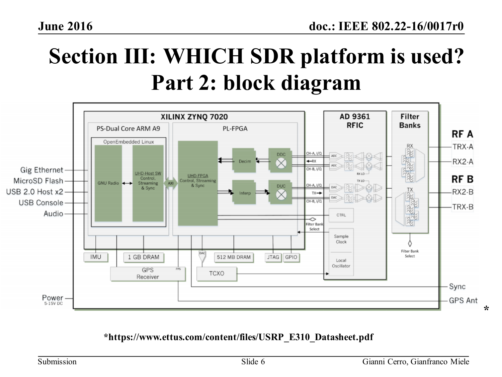## **Section III: WHICH SDR platform is used? Part 2: block diagram**



#### **\*https://www.ettus.com/content/files/USRP\_E310\_Datasheet.pdf**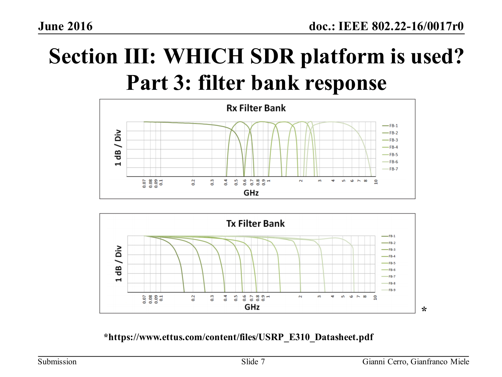# **Section III: WHICH SDR platform is used? Part 3: filter bank response**





**\*https://www.ettus.com/content/files/USRP\_E310\_Datasheet.pdf**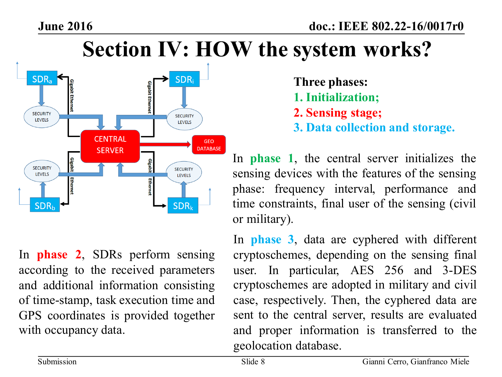### **Section IV: HOW the system works?**



In **phase 2**, SDRs perform sensing according to the received parameters and additional information consisting of time-stamp, task execution time and GPS coordinates is provided together with occupancy data.

- **Three phases: 1. Initialization; 2. Sensing stage;**
- **3. Data collection and storage.**

In **phase 1**, the central server initializes the sensing devices with the features of the sensing phase: frequency interval, performance and time constraints, final user of the sensing (civil or military).

In **phase 3**, data are cyphered with different cryptoschemes, depending on the sensing final user. In particular, AES 256 and 3-DES cryptoschemes are adopted in military and civil case, respectively. Then, the cyphered data are sent to the central server, results are evaluated and proper information is transferred to the geolocation database.